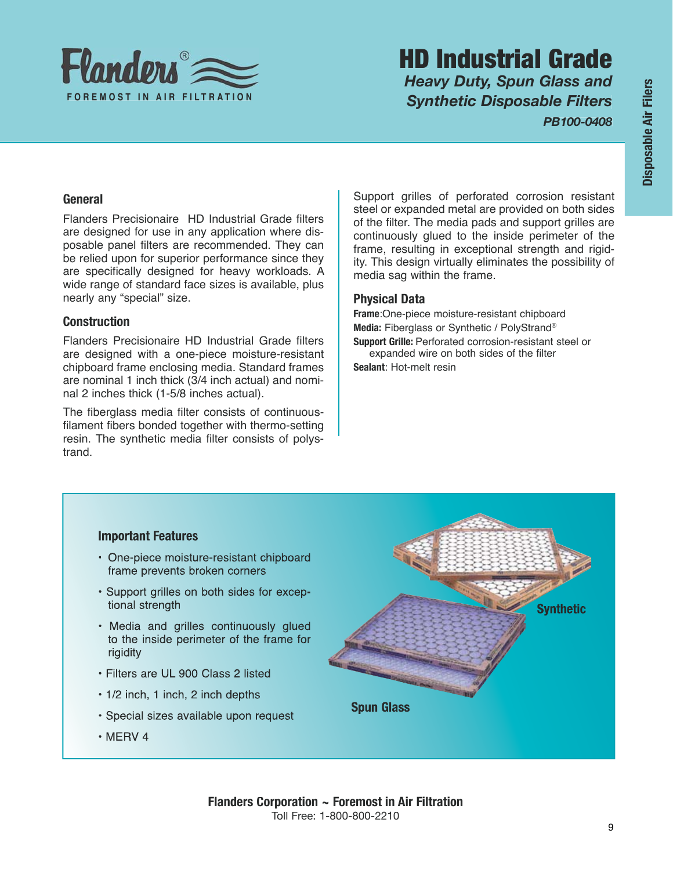

# HD Industrial Grade *Heavy Duty, Spun Glass and Synthetic Disposable Filters*

*PB100-0408*

# **General**

Flanders Precisionaire HD Industrial Grade filters are designed for use in any application where disposable panel filters are recommended. They can be relied upon for superior performance since they are specifically designed for heavy workloads. A wide range of standard face sizes is available, plus nearly any "special" size.

# **Construction**

Flanders Precisionaire HD Industrial Grade filters are designed with a one-piece moisture-resistant chipboard frame enclosing media. Standard frames are nominal 1 inch thick (3/4 inch actual) and nominal 2 inches thick (1-5/8 inches actual).

The fiberglass media filter consists of continuousfilament fibers bonded together with thermo-setting resin. The synthetic media filter consists of polystrand.

Support grilles of perforated corrosion resistant steel or expanded metal are provided on both sides of the filter. The media pads and support grilles are continuously glued to the inside perimeter of the frame, resulting in exceptional strength and rigidity. This design virtually eliminates the possibility of media sag within the frame.

# **Physical Data**

**Frame**:One-piece moisture-resistant chipboard **Media:** Fiberglass or Synthetic / PolyStrand® **Support Grille:** Perforated corrosion-resistant steel or expanded wire on both sides of the filter **Sealant**: Hot-melt resin

### **Important Features**

- One-piece moisture-resistant chipboard frame prevents broken corners
- · Support grilles on both sides for exceptional strength
- · Media and grilles continuously glued to the inside perimeter of the frame for rigidity
- · Filters are UL 900 Class 2 listed
- 1/2 inch, 1 inch, 2 inch depths
- · Special sizes available upon request
- $\cdot$  MERV 4